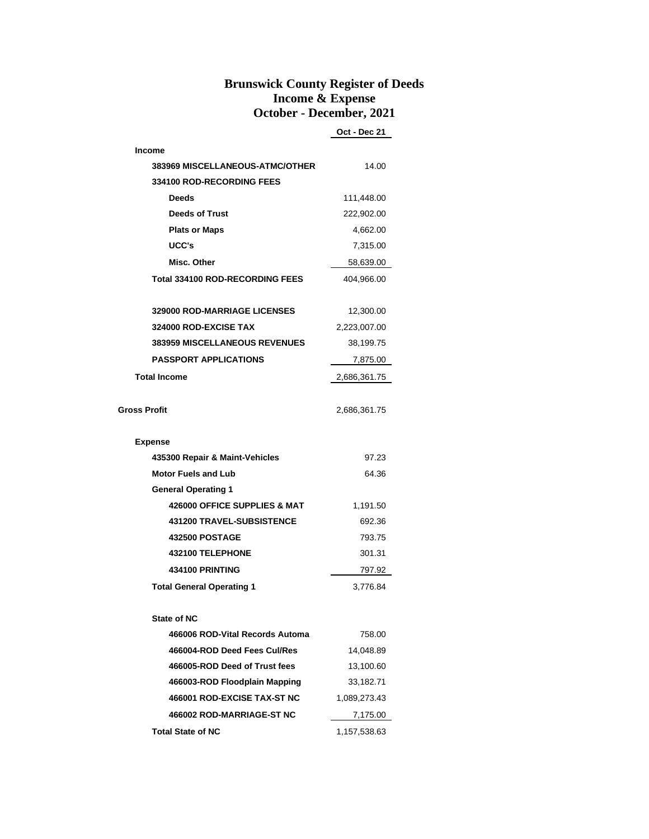## **Brunswick County Register of Deeds Income & Expense October - December, 2021**

**Oct - Dec 21**

| <b>Income</b>                          |              |  |  |
|----------------------------------------|--------------|--|--|
| 383969 MISCELLANEOUS-ATMC/OTHER        | 14.00        |  |  |
| <b>334100 ROD-RECORDING FEES</b>       |              |  |  |
| <b>Deeds</b>                           | 111,448.00   |  |  |
| <b>Deeds of Trust</b>                  | 222,902.00   |  |  |
| <b>Plats or Maps</b>                   | 4,662.00     |  |  |
| UCC's                                  | 7,315.00     |  |  |
| Misc. Other                            | 58,639.00    |  |  |
| <b>Total 334100 ROD-RECORDING FEES</b> | 404,966.00   |  |  |
|                                        |              |  |  |
| <b>329000 ROD-MARRIAGE LICENSES</b>    | 12,300.00    |  |  |
| 324000 ROD-EXCISE TAX                  | 2,223,007.00 |  |  |
| <b>383959 MISCELLANEOUS REVENUES</b>   | 38,199.75    |  |  |
| <b>PASSPORT APPLICATIONS</b>           | 7,875.00     |  |  |
| <b>Total Income</b>                    | 2,686,361.75 |  |  |
|                                        |              |  |  |
| Gross Profit                           | 2,686,361.75 |  |  |
|                                        |              |  |  |
| <b>Expense</b>                         |              |  |  |
| 435300 Repair & Maint-Vehicles         | 97.23        |  |  |
| <b>Motor Fuels and Lub</b>             | 64.36        |  |  |
| <b>General Operating 1</b>             |              |  |  |
| 426000 OFFICE SUPPLIES & MAT           | 1,191.50     |  |  |
| <b>431200 TRAVEL-SUBSISTENCE</b>       | 692.36       |  |  |
| <b>432500 POSTAGE</b>                  | 793.75       |  |  |
| 432100 TELEPHONE                       | 301.31       |  |  |
| 434100 PRINTING                        | 797.92       |  |  |
| <b>Total General Operating 1</b>       | 3,776.84     |  |  |
|                                        |              |  |  |
| <b>State of NC</b>                     |              |  |  |
| 466006 ROD-Vital Records Automa        | 758.00       |  |  |
| 466004-ROD Deed Fees Cul/Res           | 14.048.89    |  |  |
| 466005-ROD Deed of Trust fees          | 13,100.60    |  |  |
| 466003-ROD Floodplain Mapping          | 33,182.71    |  |  |
| 466001 ROD-EXCISE TAX-ST NC            | 1,089,273.43 |  |  |
| 466002 ROD-MARRIAGE-ST NC              | 7,175.00     |  |  |
| <b>Total State of NC</b>               | 1,157,538.63 |  |  |